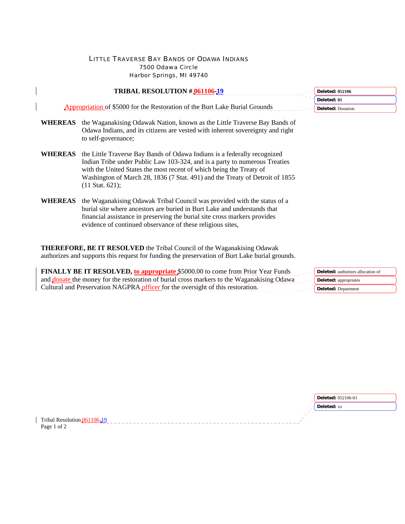## LITTLE TRAVERSE BAY BANDS OF ODAWA INDIANS 7500 Odawa Circle Harbor Springs, MI 49740

|                | <b>Deleted: 052106</b>                                                                                                                                                                                                                                                                                                                      |                                         |
|----------------|---------------------------------------------------------------------------------------------------------------------------------------------------------------------------------------------------------------------------------------------------------------------------------------------------------------------------------------------|-----------------------------------------|
|                | Appropriation of \$5000 for the Restoration of the Burt Lake Burial Grounds                                                                                                                                                                                                                                                                 | Deleted: 01<br><b>Deleted: Donation</b> |
| WHEREAS        | the Waganakising Odawak Nation, known as the Little Traverse Bay Bands of<br>Odawa Indians, and its citizens are vested with inherent sovereignty and right<br>to self-governance;                                                                                                                                                          |                                         |
| <b>WHEREAS</b> | the Little Traverse Bay Bands of Odawa Indians is a federally recognized<br>Indian Tribe under Public Law 103-324, and is a party to numerous Treaties<br>with the United States the most recent of which being the Treaty of<br>Washington of March 28, 1836 (7 Stat. 491) and the Treaty of Detroit of 1855<br>$(11 \text{ Stat. } 621);$ |                                         |
| WHEREAS        | the Waganakising Odawak Tribal Council was provided with the status of a<br>burial site where ancestors are buried in Burt Lake and understands that<br>financial assistance in preserving the burial site cross markers provides<br>evidence of continued observance of these religious sites,                                             |                                         |

**THEREFORE, BE IT RESOLVED** the Tribal Council of the Waganakising Odawak authorizes and supports this request for funding the preservation of Burt Lake burial grounds.

| <b>FINALLY BE IT RESOLVED, to appropriate</b> \$5000.00 to come from Prior Year Funds      | Deleted: authorizes allocation of |
|--------------------------------------------------------------------------------------------|-----------------------------------|
| and donate the money for the restoration of burial cross markers to the Waganakising Odawa | <b>Deleted:</b> appropriates      |
| Cultural and Preservation NAGPRA officer for the oversight of this restoration.            | <b>Deleted:</b> Department        |

|                                     | Deleted: 052106-01 |
|-------------------------------------|--------------------|
|                                     | Deleted: xx        |
| Tribal Resolution $\Omega$ 61106-19 |                    |
| _____<br>Page 1 of 2                |                    |